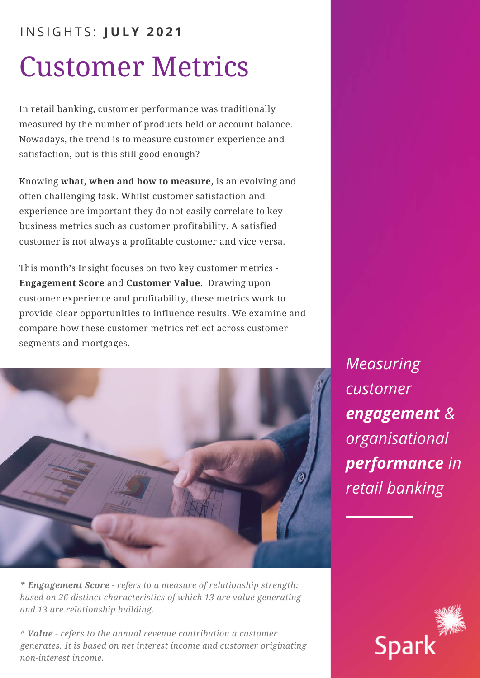# Customer Metrics I N S I G H T S : **J U L Y 2 0 2 1**

In retail banking, customer performance was traditionally measured by the number of products held or account balance. Nowadays, the trend is to measure customer experience and satisfaction, but is this still good enough?

Knowing **what, when and how to measure,** is an evolving and often challenging task. Whilst customer satisfaction and experience are important they do not easily correlate to key business metrics such as customer profitability. A satisfied customer is not always a profitable customer and vice versa.

This month's Insight focuses on two key customer metrics - **Engagement Score** and **Customer Value**. Drawing upon customer experience and profitability, these metrics work to provide clear opportunities to influence results. We examine and compare how these customer metrics reflect across customer segments and mortgages.



*\* Engagement Score - refers to a measure of relationship strength; based on 26 distinct characteristics of which 13 are value generating and 13 are relationship building.*

*^ Value - refers to the annual revenue contribution a customer generates. It is based on net interest income and customer originating non-interest income.*

*Measuring customer engagement & organisational performance in retail banking*

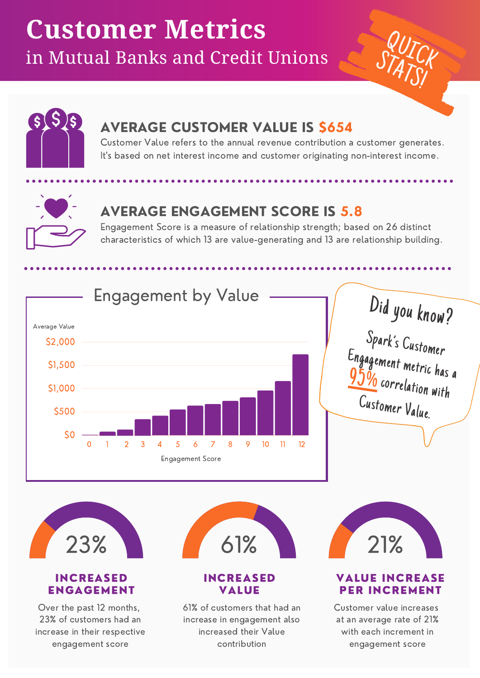# **Customer Metrics** in Mutual Banks and Credit Unions





# AVERAGE CUSTOMER VALUE IS \$654

Customer Value refers to the annual revenue contribution a customer generates. It's based on net interest income and customer originating non-interest income.



# AVERAGE ENGAGEMENT SCORE IS 5.8

Engagement Score is a measure of relationship strength; based on 26 distinct characteristics of which 13 are value-generating and 13 are relationship building.



## INCREASED ENGAGEMENT

Over the past 12 months, 23% of customers had an increase in their respective engagement score



## INCREASED VALUE

61% of customers that had an increase in engagement also increased their Value contribution



# VALUE INCREASE PER INCREMENT

Customer value increases at an average rate of 21% with each increment in engagement score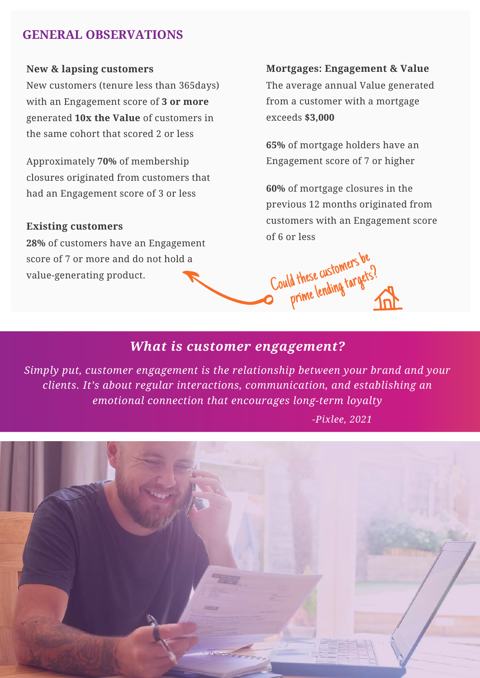# **GENERAL OBSERVATIONS**

#### **New & lapsing customers**

New customers (tenure less than 365days) with an Engagement score of **3 or more** generated **10x the Value** of customers in the same cohort that scored 2 or less

Approximately **70%** of membership closures originated from customers that had an Engagement score of 3 or less

#### **Existing customers**

**28%** of customers have an Engagement score of 7 or more and do not hold a value-generating product.

#### **Mortgages: Engagement & Value**

The average annual Value generated from a customer with a mortgage exceeds **\$3,000**

**65%** of mortgage holders have an Engagement score of 7 or higher

**60%** of mortgage closures in the previous 12 months originated from customers with an Engagement score of 6 or less

Could these customers be

d these customer<br>prime lending targets?

# *What is customer engagement?*

*Simply put, customer engagement is the relationship between your brand and your clients. It's about regular interactions, communication, and establishing an emotional connection that encourages long-term loyalty*

 *-Pixlee, 2021*